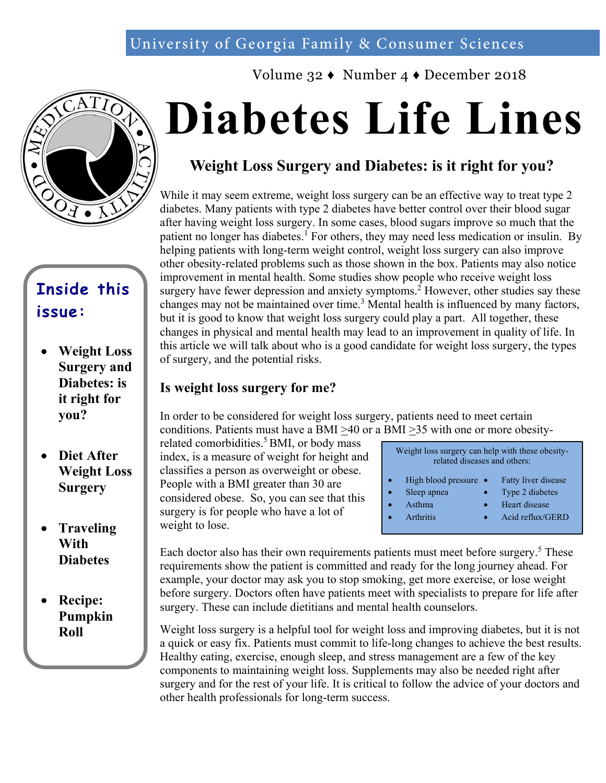## University of Georgia Family & Consumer Sciences





## **Inside this issue:**

- **Weight Loss Surgery and Diabetes: is it right for you?**
- **Diet After Weight Loss Surgery**
- **Traveling With Diabetes**
- **Recipe: Pumpkin Roll**

# **Diabetes Life Lines**

## **Weight Loss Surgery and Diabetes: is it right for you?**

While it may seem extreme, weight loss surgery can be an effective way to treat type 2 diabetes. Many patients with type 2 diabetes have better control over their blood sugar after having weight loss surgery. In some cases, blood sugars improve so much that the patient no longer has diabetes.<sup>1</sup> For others, they may need less medication or insulin. By helping patients with long-term weight control, weight loss surgery can also improve other obesity-related problems such as those shown in the box. Patients may also notice improvement in mental health. Some studies show people who receive weight loss surgery have fewer depression and anxiety symptoms.<sup>2</sup> However, other studies say these changes may not be maintained over time.<sup>3</sup> Mental health is influenced by many factors, but it is good to know that weight loss surgery could play a part. All together, these changes in physical and mental health may lead to an improvement in quality of life. In this article we will talk about who is a good candidate for weight loss surgery, the types of surgery, and the potential risks.

#### **Is weight loss surgery for me?**

In order to be considered for weight loss surgery, patients need to meet certain conditions. Patients must have a BMI >40 or a BMI >35 with one or more obesity-

related comorbidities.<sup>5</sup> BMI, or body mass index, is a measure of weight for height and classifies a person as overweight or obese. People with a BMI greater than 30 are considered obese. So, you can see that this surgery is for people who have a lot of weight to lose.

| Weight loss surgery can help with these obesity-<br>related diseases and others: |                                                                            |  |                                                                             |  |
|----------------------------------------------------------------------------------|----------------------------------------------------------------------------|--|-----------------------------------------------------------------------------|--|
|                                                                                  | High blood pressure $\bullet$<br>Sleep apnea<br>Asthma<br><b>Arthritis</b> |  | Fatty liver disease<br>Type 2 diabetes<br>Heart disease<br>Acid reflux/GERD |  |

Each doctor also has their own requirements patients must meet before surgery.<sup>5</sup> These requirements show the patient is committed and ready for the long journey ahead. For example, your doctor may ask you to stop smoking, get more exercise, or lose weight before surgery. Doctors often have patients meet with specialists to prepare for life after surgery. These can include dietitians and mental health counselors.

Weight loss surgery is a helpful tool for weight loss and improving diabetes, but it is not a quick or easy fix. Patients must commit to life-long changes to achieve the best results. Healthy eating, exercise, enough sleep, and stress management are a few of the key components to maintaining weight loss. Supplements may also be needed right after surgery and for the rest of your life. It is critical to follow the advice of your doctors and other health professionals for long-term success.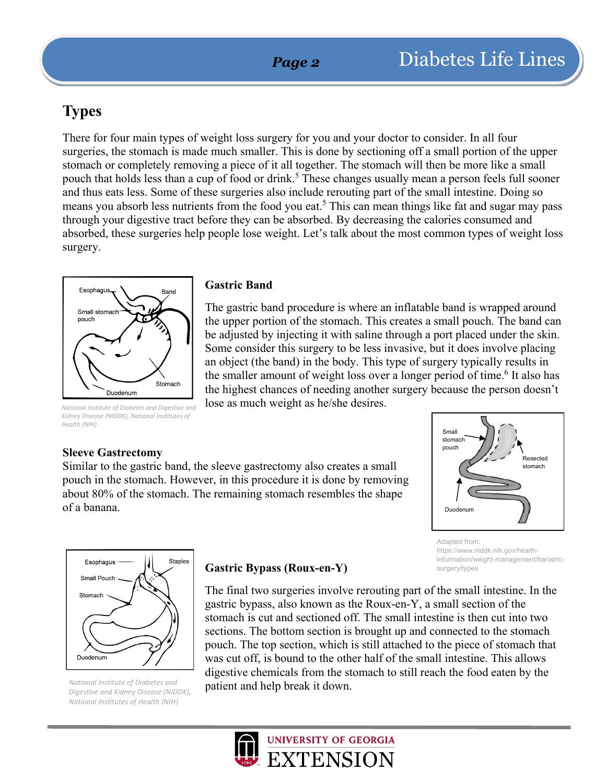## **Types**

There for four main types of weight loss surgery for you and your doctor to consider. In all four surgeries, the stomach is made much smaller. This is done by sectioning off a small portion of the upper stomach or completely removing a piece of it all together. The stomach will then be more like a small pouch that holds less than a cup of food or drink.<sup>5</sup> These changes usually mean a person feels full sooner and thus eats less. Some of these surgeries also include rerouting part of the small intestine. Doing so means you absorb less nutrients from the food you eat.<sup>5</sup> This can mean things like fat and sugar may pass through your digestive tract before they can be absorbed. By decreasing the calories consumed and absorbed, these surgeries help people lose weight. Let's talk about the most common types of weight loss surgery.



#### *National Institute of Diabetes and Digestive and Kidney Disease (NIDDK), National Institutes of Health (NIH)*

#### **Gastric Band**

The gastric band procedure is where an inflatable band is wrapped around the upper portion of the stomach. This creates a small pouch. The band can be adjusted by injecting it with saline through a port placed under the skin. Some consider this surgery to be less invasive, but it does involve placing an object (the band) in the body. This type of surgery typically results in the smaller amount of weight loss over a longer period of time.<sup>6</sup> It also has the highest chances of needing another surgery because the person doesn't lose as much weight as he/she desires.

#### **Sleeve Gastrectomy**

Similar to the gastric band, the sleeve gastrectomy also creates a small pouch in the stomach. However, in this procedure it is done by removing about 80% of the stomach. The remaining stomach resembles the shape of a banana.



https://www.niddk.nih.gov/healthinformation/weight-management/bariatric-

Adapted from:

surgery/types

Staples Esophagus Small Pouch Stomach Duodenum

*National Institute of Diabetes and Digestive and Kidney Disease (NIDDK), National Institutes of Health (NIH)*

#### **Gastric Bypass (Roux-en-Y)**

The final two surgeries involve rerouting part of the small intestine. In the gastric bypass, also known as the Roux-en-Y, a small section of the stomach is cut and sectioned off. The small intestine is then cut into two sections. The bottom section is brought up and connected to the stomach pouch. The top section, which is still attached to the piece of stomach that was cut off, is bound to the other half of the small intestine. This allows digestive chemicals from the stomach to still reach the food eaten by the patient and help break it down.

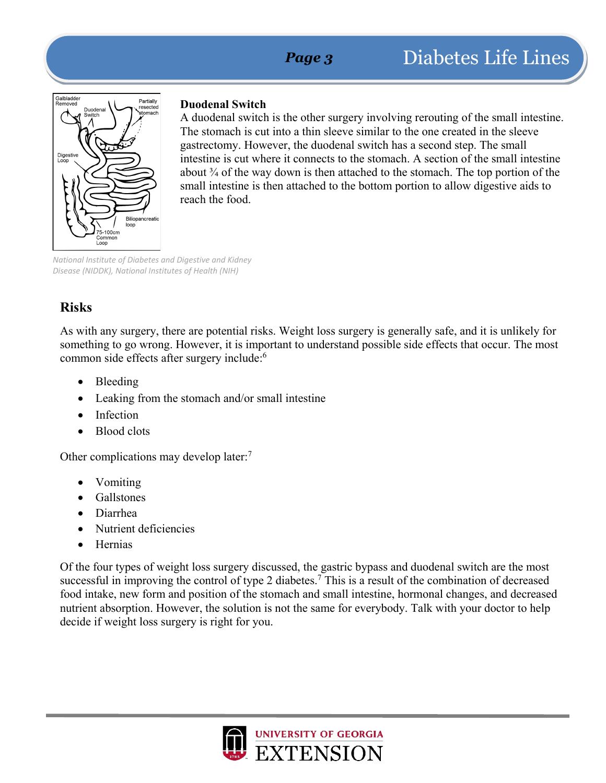

#### **Duodenal Switch**

A duodenal switch is the other surgery involving rerouting of the small intestine. The stomach is cut into a thin sleeve similar to the one created in the sleeve gastrectomy. However, the duodenal switch has a second step. The small intestine is cut where it connects to the stomach. A section of the small intestine about  $\frac{3}{4}$  of the way down is then attached to the stomach. The top portion of the small intestine is then attached to the bottom portion to allow digestive aids to reach the food.

*National Institute of Diabetes and Digestive and Kidney Disease (NIDDK), National Institutes of Health (NIH)*

## **Risks**

As with any surgery, there are potential risks. Weight loss surgery is generally safe, and it is unlikely for something to go wrong. However, it is important to understand possible side effects that occur. The most common side effects after surgery include:<sup>6</sup>

- Bleeding
- Leaking from the stomach and/or small intestine
- Infection
- Blood clots

Other complications may develop later:<sup>7</sup>

- Vomiting
- Gallstones
- Diarrhea
- Nutrient deficiencies
- Hernias

Of the four types of weight loss surgery discussed, the gastric bypass and duodenal switch are the most successful in improving the control of type 2 diabetes.<sup>7</sup> This is a result of the combination of decreased food intake, new form and position of the stomach and small intestine, hormonal changes, and decreased nutrient absorption. However, the solution is not the same for everybody. Talk with your doctor to help decide if weight loss surgery is right for you.

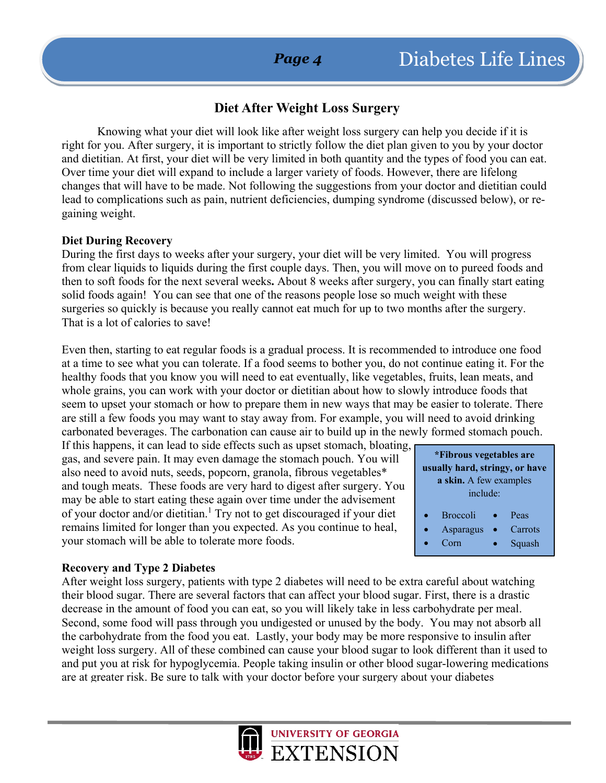## **Diet After Weight Loss Surgery**

Knowing what your diet will look like after weight loss surgery can help you decide if it is right for you. After surgery, it is important to strictly follow the diet plan given to you by your doctor and dietitian. At first, your diet will be very limited in both quantity and the types of food you can eat. Over time your diet will expand to include a larger variety of foods. However, there are lifelong changes that will have to be made. Not following the suggestions from your doctor and dietitian could lead to complications such as pain, nutrient deficiencies, dumping syndrome (discussed below), or regaining weight.

#### **Diet During Recovery**

During the first days to weeks after your surgery, your diet will be very limited. You will progress from clear liquids to liquids during the first couple days. Then, you will move on to pureed foods and then to soft foods for the next several weeks**.** About 8 weeks after surgery, you can finally start eating solid foods again! You can see that one of the reasons people lose so much weight with these surgeries so quickly is because you really cannot eat much for up to two months after the surgery. That is a lot of calories to save!

Even then, starting to eat regular foods is a gradual process. It is recommended to introduce one food at a time to see what you can tolerate. If a food seems to bother you, do not continue eating it. For the healthy foods that you know you will need to eat eventually, like vegetables, fruits, lean meats, and whole grains, you can work with your doctor or dietitian about how to slowly introduce foods that seem to upset your stomach or how to prepare them in new ways that may be easier to tolerate. There are still a few foods you may want to stay away from. For example, you will need to avoid drinking carbonated beverages. The carbonation can cause air to build up in the newly formed stomach pouch.

If this happens, it can lead to side effects such as upset stomach, bloating, gas, and severe pain. It may even damage the stomach pouch. You will also need to avoid nuts, seeds, popcorn, granola, fibrous vegetables\* and tough meats. These foods are very hard to digest after surgery. You may be able to start eating these again over time under the advisement of your doctor and/or dietitian.<sup>1</sup> Try not to get discouraged if your diet remains limited for longer than you expected. As you continue to heal, your stomach will be able to tolerate more foods.

#### **\*Fibrous vegetables are usually hard, stringy, or have a skin.** A few examples include: **Broccoli** • Asparagus • Corn Peas • Carrots • Squash

#### **Recovery and Type 2 Diabetes**

After weight loss surgery, patients with type 2 diabetes will need to be extra careful about watching their blood sugar. There are several factors that can affect your blood sugar. First, there is a drastic decrease in the amount of food you can eat, so you will likely take in less carbohydrate per meal. Second, some food will pass through you undigested or unused by the body. You may not absorb all the carbohydrate from the food you eat. Lastly, your body may be more responsive to insulin after weight loss surgery. All of these combined can cause your blood sugar to look different than it used to and put you at risk for hypoglycemia. People taking insulin or other blood sugar-lowering medications are at greater risk. Be sure to talk with your doctor before your surgery about your diabetes

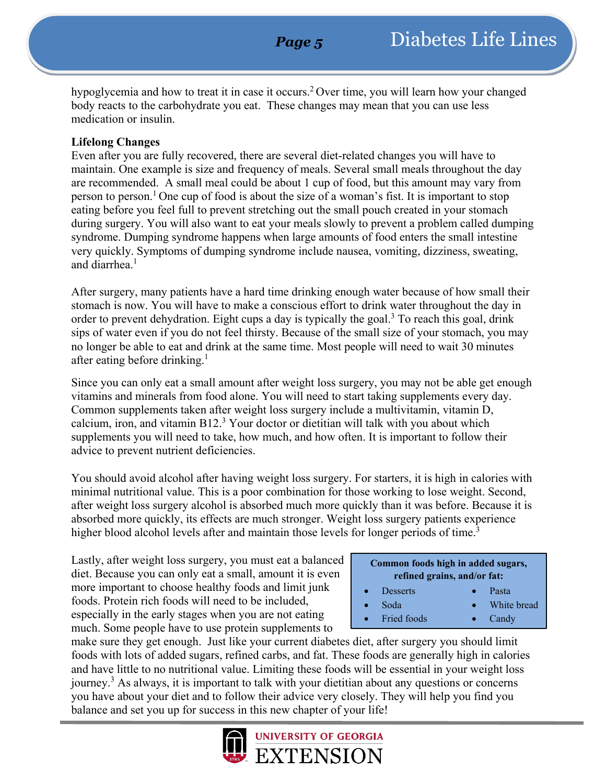hypoglycemia and how to treat it in case it occurs.2 Over time, you will learn how your changed body reacts to the carbohydrate you eat. These changes may mean that you can use less medication or insulin.

#### **Lifelong Changes**

Even after you are fully recovered, there are several diet-related changes you will have to maintain. One example is size and frequency of meals. Several small meals throughout the day are recommended. A small meal could be about 1 cup of food, but this amount may vary from person to person.<sup>1</sup> One cup of food is about the size of a woman's fist. It is important to stop eating before you feel full to prevent stretching out the small pouch created in your stomach during surgery. You will also want to eat your meals slowly to prevent a problem called dumping syndrome. Dumping syndrome happens when large amounts of food enters the small intestine very quickly. Symptoms of dumping syndrome include nausea, vomiting, dizziness, sweating, and diarrhea $<sup>1</sup>$ </sup>

After surgery, many patients have a hard time drinking enough water because of how small their stomach is now. You will have to make a conscious effort to drink water throughout the day in order to prevent dehydration. Eight cups a day is typically the goal.<sup>3</sup> To reach this goal, drink sips of water even if you do not feel thirsty. Because of the small size of your stomach, you may no longer be able to eat and drink at the same time. Most people will need to wait 30 minutes after eating before drinking.<sup>1</sup>

Since you can only eat a small amount after weight loss surgery, you may not be able get enough vitamins and minerals from food alone. You will need to start taking supplements every day. Common supplements taken after weight loss surgery include a multivitamin, vitamin D, calcium, iron, and vitamin B12.3 Your doctor or dietitian will talk with you about which supplements you will need to take, how much, and how often. It is important to follow their advice to prevent nutrient deficiencies.

You should avoid alcohol after having weight loss surgery. For starters, it is high in calories with minimal nutritional value. This is a poor combination for those working to lose weight. Second, after weight loss surgery alcohol is absorbed much more quickly than it was before. Because it is absorbed more quickly, its effects are much stronger. Weight loss surgery patients experience higher blood alcohol levels after and maintain those levels for longer periods of time.<sup>3</sup>

Lastly, after weight loss surgery, you must eat a balanced diet. Because you can only eat a small, amount it is even more important to choose healthy foods and limit junk foods. Protein rich foods will need to be included, especially in the early stages when you are not eating much. Some people have to use protein supplements to

| Common foods high in added sugars, |  |
|------------------------------------|--|
| refined grains, and/or fat:        |  |

• Soda

- **Desserts** • Pasta
	- White bread
- **Fried foods** • Candy

make sure they get enough. Just like your current diabetes diet, after surgery you should limit foods with lots of added sugars, refined carbs, and fat. These foods are generally high in calories and have little to no nutritional value. Limiting these foods will be essential in your weight loss journey.3 As always, it is important to talk with your dietitian about any questions or concerns you have about your diet and to follow their advice very closely. They will help you find you balance and set you up for success in this new chapter of your life!

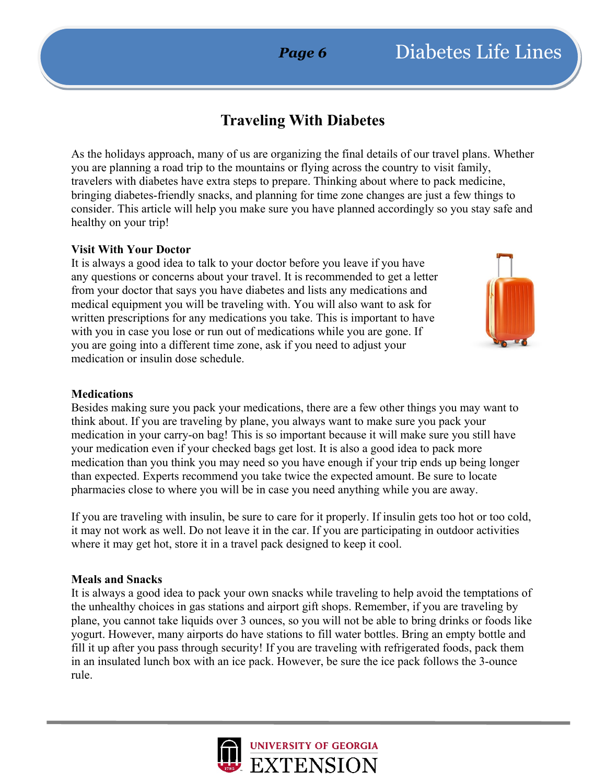## **Traveling With Diabetes**

As the holidays approach, many of us are organizing the final details of our travel plans. Whether you are planning a road trip to the mountains or flying across the country to visit family, travelers with diabetes have extra steps to prepare. Thinking about where to pack medicine, bringing diabetes-friendly snacks, and planning for time zone changes are just a few things to consider. This article will help you make sure you have planned accordingly so you stay safe and healthy on your trip!

#### **Visit With Your Doctor**

It is always a good idea to talk to your doctor before you leave if you have any questions or concerns about your travel. It is recommended to get a letter from your doctor that says you have diabetes and lists any medications and medical equipment you will be traveling with. You will also want to ask for written prescriptions for any medications you take. This is important to have with you in case you lose or run out of medications while you are gone. If you are going into a different time zone, ask if you need to adjust your medication or insulin dose schedule.



#### **Medications**

Besides making sure you pack your medications, there are a few other things you may want to think about. If you are traveling by plane, you always want to make sure you pack your medication in your carry-on bag! This is so important because it will make sure you still have your medication even if your checked bags get lost. It is also a good idea to pack more medication than you think you may need so you have enough if your trip ends up being longer than expected. Experts recommend you take twice the expected amount. Be sure to locate pharmacies close to where you will be in case you need anything while you are away.

If you are traveling with insulin, be sure to care for it properly. If insulin gets too hot or too cold, it may not work as well. Do not leave it in the car. If you are participating in outdoor activities where it may get hot, store it in a travel pack designed to keep it cool.

#### **Meals and Snacks**

It is always a good idea to pack your own snacks while traveling to help avoid the temptations of the unhealthy choices in gas stations and airport gift shops. Remember, if you are traveling by plane, you cannot take liquids over 3 ounces, so you will not be able to bring drinks or foods like yogurt. However, many airports do have stations to fill water bottles. Bring an empty bottle and fill it up after you pass through security! If you are traveling with refrigerated foods, pack them in an insulated lunch box with an ice pack. However, be sure the ice pack follows the 3-ounce rule.

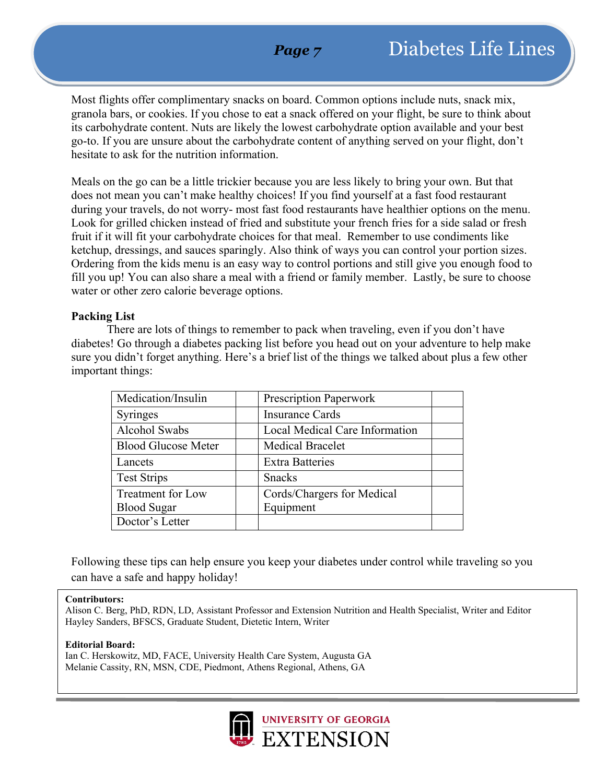## *Page 7*

Most flights offer complimentary snacks on board. Common options include nuts, snack mix, granola bars, or cookies. If you chose to eat a snack offered on your flight, be sure to think about its carbohydrate content. Nuts are likely the lowest carbohydrate option available and your best go-to. If you are unsure about the carbohydrate content of anything served on your flight, don't hesitate to ask for the nutrition information.

Meals on the go can be a little trickier because you are less likely to bring your own. But that does not mean you can't make healthy choices! If you find yourself at a fast food restaurant during your travels, do not worry- most fast food restaurants have healthier options on the menu. Look for grilled chicken instead of fried and substitute your french fries for a side salad or fresh fruit if it will fit your carbohydrate choices for that meal. Remember to use condiments like ketchup, dressings, and sauces sparingly. Also think of ways you can control your portion sizes. Ordering from the kids menu is an easy way to control portions and still give you enough food to fill you up! You can also share a meal with a friend or family member. Lastly, be sure to choose water or other zero calorie beverage options.

#### **Packing List**

There are lots of things to remember to pack when traveling, even if you don't have diabetes! Go through a diabetes packing list before you head out on your adventure to help make sure you didn't forget anything. Here's a brief list of the things we talked about plus a few other important things:

| Medication/Insulin         | <b>Prescription Paperwork</b>  |
|----------------------------|--------------------------------|
| Syringes                   | <b>Insurance Cards</b>         |
| Alcohol Swabs              | Local Medical Care Information |
| <b>Blood Glucose Meter</b> | <b>Medical Bracelet</b>        |
| Lancets                    | <b>Extra Batteries</b>         |
| <b>Test Strips</b>         | <b>Snacks</b>                  |
| Treatment for Low          | Cords/Chargers for Medical     |
| <b>Blood Sugar</b>         | Equipment                      |
| Doctor's Letter            |                                |

Following these tips can help ensure you keep your diabetes under control while traveling so you can have a safe and happy holiday!

#### **Contributors:**

Alison C. Berg, PhD, RDN, LD, Assistant Professor and Extension Nutrition and Health Specialist, Writer and Editor Hayley Sanders, BFSCS, Graduate Student, Dietetic Intern, Writer

#### **Editorial Board:**

Ian C. Herskowitz, MD, FACE, University Health Care System, Augusta GA Melanie Cassity, RN, MSN, CDE, Piedmont, Athens Regional, Athens, GA

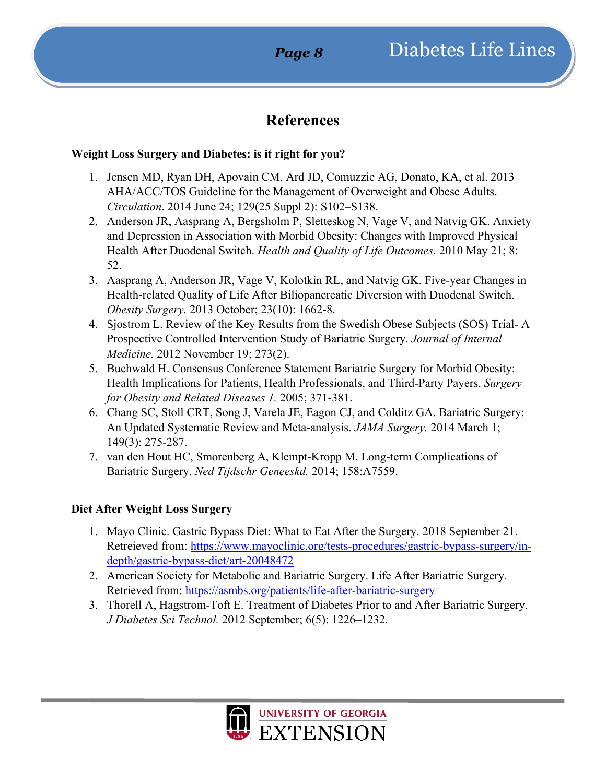## **References**

#### **Weight Loss Surgery and Diabetes: is it right for you?**

- 1. Jensen MD, Ryan DH, Apovain CM, Ard JD, Comuzzie AG, Donato, KA, et al. 2013 AHA/ACC/TOS Guideline for the Management of Overweight and Obese Adults. *Circulation*. 2014 June 24; 129(25 Suppl 2): S102–S138.
- 2. Anderson JR, Aasprang A, Bergsholm P, Sletteskog N, Vage V, and Natvig GK. Anxiety and Depression in Association with Morbid Obesity: Changes with Improved Physical Health After Duodenal Switch. *Health and Quality of Life Outcomes*. 2010 May 21; 8: 52.
- 3. Aasprang A, Anderson JR, Vage V, Kolotkin RL, and Natvig GK. Five-year Changes in Health-related Quality of Life After Biliopancreatic Diversion with Duodenal Switch. *Obesity Surgery.* 2013 October; 23(10): 1662-8.
- 4. Sjostrom L. Review of the Key Results from the Swedish Obese Subjects (SOS) Trial- A Prospective Controlled Intervention Study of Bariatric Surgery. *Journal of Internal Medicine.* 2012 November 19; 273(2).
- 5. Buchwald H. Consensus Conference Statement Bariatric Surgery for Morbid Obesity: Health Implications for Patients, Health Professionals, and Third-Party Payers. *Surgery for Obesity and Related Diseases 1.* 2005; 371-381.
- 6. Chang SC, Stoll CRT, Song J, Varela JE, Eagon CJ, and Colditz GA. Bariatric Surgery: An Updated Systematic Review and Meta-analysis. *JAMA Surgery.* 2014 March 1; 149(3): 275-287.
- 7. van den Hout HC, Smorenberg A, Klempt-Kropp M. Long-term Complications of Bariatric Surgery. *Ned Tijdschr Geneeskd.* 2014; 158:A7559.

#### **Diet After Weight Loss Surgery**

- 1. Mayo Clinic. Gastric Bypass Diet: What to Eat After the Surgery. 2018 September 21. Retreieved from: [https://www.mayoclinic.org/tests-procedures/gastric-bypass-surgery/in](https://www.mayoclinic.org/tests-procedures/gastric-bypass-surgery/in-depth/gastric-bypass-diet/art-20048472)[depth/gastric-bypass-diet/art-20048472](https://www.mayoclinic.org/tests-procedures/gastric-bypass-surgery/in-depth/gastric-bypass-diet/art-20048472)
- 2. American Society for Metabolic and Bariatric Surgery. Life After Bariatric Surgery. Retrieved from:<https://asmbs.org/patients/life-after-bariatric-surgery>
- 3. Thorell A, Hagstrom-Toft E. Treatment of Diabetes Prior to and After Bariatric Surgery. *J Diabetes Sci Technol.* 2012 September; 6(5): 1226–1232.

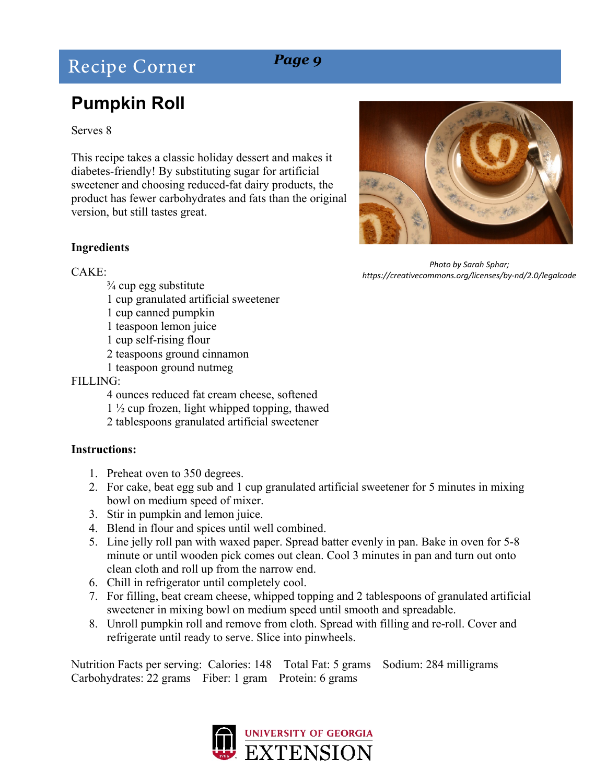## Recipe Corner *Page 9*

## **Pumpkin Roll**

#### Serves 8

This recipe takes a classic holiday dessert and makes it diabetes-friendly! By substituting sugar for artificial sweetener and choosing reduced-fat dairy products, the product has fewer carbohydrates and fats than the original version, but still tastes great.

#### **Ingredients**

#### $CAKE$

- $\frac{3}{4}$  cup egg substitute
- 1 cup granulated artificial sweetener
- 1 cup canned pumpkin
- 1 teaspoon lemon juice
- 1 cup self-rising flour
- 2 teaspoons ground cinnamon
- 1 teaspoon ground nutmeg

#### FILLING:

- 4 ounces reduced fat cream cheese, softened 1 ½ cup frozen, light whipped topping, thawed
- 2 tablespoons granulated artificial sweetener

#### **Instructions:**

- 1. Preheat oven to 350 degrees.
- 2. For cake, beat egg sub and 1 cup granulated artificial sweetener for 5 minutes in mixing bowl on medium speed of mixer.
- 3. Stir in pumpkin and lemon juice.
- 4. Blend in flour and spices until well combined.
- 5. Line jelly roll pan with waxed paper. Spread batter evenly in pan. Bake in oven for 5-8 minute or until wooden pick comes out clean. Cool 3 minutes in pan and turn out onto clean cloth and roll up from the narrow end.
- 6. Chill in refrigerator until completely cool.
- 7. For filling, beat cream cheese, whipped topping and 2 tablespoons of granulated artificial sweetener in mixing bowl on medium speed until smooth and spreadable.
- 8. Unroll pumpkin roll and remove from cloth. Spread with filling and re-roll. Cover and refrigerate until ready to serve. Slice into pinwheels.

Nutrition Facts per serving: Calories: 148 Total Fat: 5 grams Sodium: 284 milligrams Carbohydrates: 22 grams Fiber: 1 gram Protein: 6 grams





*Photo by Sarah Sphar; https://creativecommons.org/licenses/by-nd/2.0/legalcode*